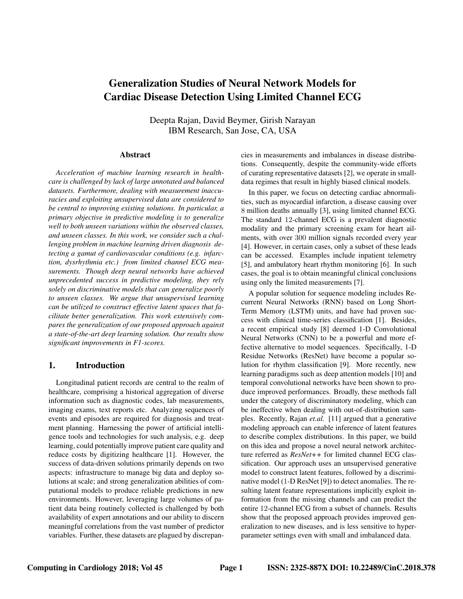# Generalization Studies of Neural Network Models for Cardiac Disease Detection Using Limited Channel ECG

Deepta Rajan, David Beymer, Girish Narayan IBM Research, San Jose, CA, USA

#### Abstract

*Acceleration of machine learning research in healthcare is challenged by lack of large annotated and balanced datasets. Furthermore, dealing with measurement inaccuracies and exploiting unsupervised data are considered to be central to improving existing solutions. In particular, a primary objective in predictive modeling is to generalize well to both unseen variations within the observed classes, and unseen classes. In this work, we consider such a challenging problem in machine learning driven diagnosis detecting a gamut of cardiovascular conditions (e.g. infarction, dysrhythmia etc.) from limited channel ECG measurements. Though deep neural networks have achieved unprecedented success in predictive modeling, they rely solely on discriminative models that can generalize poorly to unseen classes. We argue that unsupervised learning can be utilized to construct effective latent spaces that facilitate better generalization. This work extensively compares the generalization of our proposed approach against a state-of-the-art deep learning solution. Our results show significant improvements in F1-scores.*

### 1. Introduction

Longitudinal patient records are central to the realm of healthcare, comprising a historical aggregation of diverse information such as diagnostic codes, lab measurements, imaging exams, text reports etc. Analyzing sequences of events and episodes are required for diagnosis and treatment planning. Harnessing the power of artificial intelligence tools and technologies for such analysis, e.g. deep learning, could potentially improve patient care quality and reduce costs by digitizing healthcare [1]. However, the success of data-driven solutions primarily depends on two aspects: infrastructure to manage big data and deploy solutions at scale; and strong generalization abilities of computational models to produce reliable predictions in new environments. However, leveraging large volumes of patient data being routinely collected is challenged by both availability of expert annotations and our ability to discern meaningful correlations from the vast number of predictor variables. Further, these datasets are plagued by discrepancies in measurements and imbalances in disease distributions. Consequently, despite the community-wide efforts of curating representative datasets [2], we operate in smalldata regimes that result in highly biased clinical models.

In this paper, we focus on detecting cardiac abnormalities, such as myocardial infarction, a disease causing over 8 million deaths annually [3], using limited channel ECG. The standard 12-channel ECG is a prevalent diagnostic modality and the primary screening exam for heart ailments, with over 300 million signals recorded every year [4]. However, in certain cases, only a subset of these leads can be accessed. Examples include inpatient telemetry [5], and ambulatory heart rhythm monitoring [6]. In such cases, the goal is to obtain meaningful clinical conclusions using only the limited measurements [7].

A popular solution for sequence modeling includes Recurrent Neural Networks (RNN) based on Long Short-Term Memory (LSTM) units, and have had proven success with clinical time-series classification [1]. Besides, a recent empirical study [8] deemed 1-D Convolutional Neural Networks (CNN) to be a powerful and more effective alternative to model sequences. Specifically, 1-D Residue Networks (ResNet) have become a popular solution for rhythm classification [9]. More recently, new learning paradigms such as deep attention models [10] and temporal convolutional networks have been shown to produce improved performances. Broadly, these methods fall under the category of discriminatory modeling, which can be ineffective when dealing with out-of-distribution samples. Recently, Rajan *et.al.* [11] argued that a generative modeling approach can enable inference of latent features to describe complex distributions. In this paper, we build on this idea and propose a novel neural network architecture referred as *ResNet++* for limited channel ECG classification. Our approach uses an unsupervised generative model to construct latent features, followed by a discriminative model (1-D ResNet [9]) to detect anomalies. The resulting latent feature representations implicitly exploit information from the missing channels and can predict the entire 12-channel ECG from a subset of channels. Results show that the proposed approach provides improved generalization to new diseases, and is less sensitive to hyperparameter settings even with small and imbalanced data.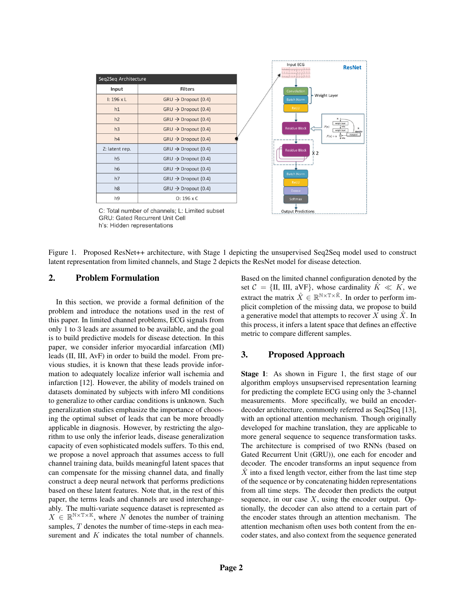|                                                      |  | Input ECG                 | <b>ResNet</b>                                                                                   |
|------------------------------------------------------|--|---------------------------|-------------------------------------------------------------------------------------------------|
| Seq2Seq Architecture                                 |  | للقطع وأسفاء التوجيب      |                                                                                                 |
| <b>Filters</b><br>Input                              |  | Convolution               |                                                                                                 |
| $GRU \rightarrow Dropout (0.4)$<br>$I: 196 \times L$ |  | <b>Batch Norm</b>         | Weight Layer                                                                                    |
| h1<br>$GRU \rightarrow Dropout (0.4)$                |  | <b>ReLU</b>               |                                                                                                 |
| h2<br>$GRU \rightarrow Dropout (0.4)$                |  |                           | x <sub>1</sub><br>weight layer                                                                  |
| h3<br>$GRU \rightarrow Dropout (0.4)$                |  | <b>Residue Block</b>      | $\mathcal{F}(\mathbf{x})$<br>relu<br>$\mathbf x$<br>weight layer<br>identity                    |
| h4<br>$GRU \rightarrow Dropout (0.4)$                |  |                           | max pool<br>$\mathcal{F}(\mathbf{x}) + \mathbf{x}$<br>$\bigoplus_{\mathsf{relu}}^{\mathsf{e}-}$ |
| $GRU \rightarrow Dropout (0.4)$<br>Z: latent rep.    |  | <b>Residue Block</b>      | x <sub>2</sub>                                                                                  |
| h <sub>5</sub><br>$GRU \rightarrow Dropout (0.4)$    |  |                           |                                                                                                 |
| h <sub>6</sub><br>$GRU \rightarrow Dropout (0.4)$    |  | <b>Batch Norm</b>         |                                                                                                 |
| h7<br>$GRU \rightarrow Dropout (0.4)$                |  | <b>ReLU</b>               |                                                                                                 |
| h <sub>8</sub><br>$GRU \rightarrow Dropout (0.4)$    |  | Dense                     |                                                                                                 |
| h9<br>$O: 196 \times C$                              |  | Softmax                   |                                                                                                 |
| C: Total number of channels; L: Limited subset       |  | <b>Output Predictions</b> |                                                                                                 |

**GRU: Gated Recurrent Unit Cell** h's: Hidden representations

Figure 1. Proposed ResNet++ architecture, with Stage 1 depicting the unsupervised Seq2Seq model used to construct latent representation from limited channels, and Stage 2 depicts the ResNet model for disease detection.

### 2. Problem Formulation

In this section, we provide a formal definition of the problem and introduce the notations used in the rest of this paper. In limited channel problems, ECG signals from only 1 to 3 leads are assumed to be available, and the goal is to build predictive models for disease detection. In this paper, we consider inferior myocardial infarcation (MI) leads (II, III, AvF) in order to build the model. From previous studies, it is known that these leads provide information to adequately localize inferior wall ischemia and infarction [12]. However, the ability of models trained on datasets dominated by subjects with infero MI conditions to generalize to other cardiac conditions is unknown. Such generalization studies emphasize the importance of choosing the optimal subset of leads that can be more broadly applicable in diagnosis. However, by restricting the algorithm to use only the inferior leads, disease generalization capacity of even sophisticated models suffers. To this end, we propose a novel approach that assumes access to full channel training data, builds meaningful latent spaces that can compensate for the missing channel data, and finally construct a deep neural network that performs predictions based on these latent features. Note that, in the rest of this paper, the terms leads and channels are used interchangeably. The multi-variate sequence dataset is represented as  $X \in \mathbb{R}^{N \times T \times K}$ , where N denotes the number of training samples, T denotes the number of time-steps in each measurement and K indicates the total number of channels. Based on the limited channel configuration denoted by the set  $C = \{II, III, aVF\}$ , whose cardinality  $\hat{K} \ll K$ , we extract the matrix  $\hat{X} \in \mathbb{R}^{N \times T \times \hat{\mathbb{K}}}$ . In order to perform implicit completion of the missing data, we propose to build a generative model that attempts to recover X using  $\hat{X}$ . In this process, it infers a latent space that defines an effective metric to compare different samples.

## 3. Proposed Approach

Stage 1: As shown in Figure 1, the first stage of our algorithm employs unsupservised representation learning for predicting the complete ECG using only the 3-channel measurements. More specifically, we build an encoderdecoder architecture, commonly referred as Seq2Seq [13], with an optional attention mechanism. Though originally developed for machine translation, they are applicable to more general sequence to sequence transformation tasks. The architecture is comprised of two RNNs (based on Gated Recurrent Unit (GRU)), one each for encoder and decoder. The encoder transforms an input sequence from  $X$  into a fixed length vector, either from the last time step of the sequence or by concatenating hidden representations from all time steps. The decoder then predicts the output sequence, in our case  $X$ , using the encoder output. Optionally, the decoder can also attend to a certain part of the encoder states through an attention mechanism. The attention mechanism often uses both content from the encoder states, and also context from the sequence generated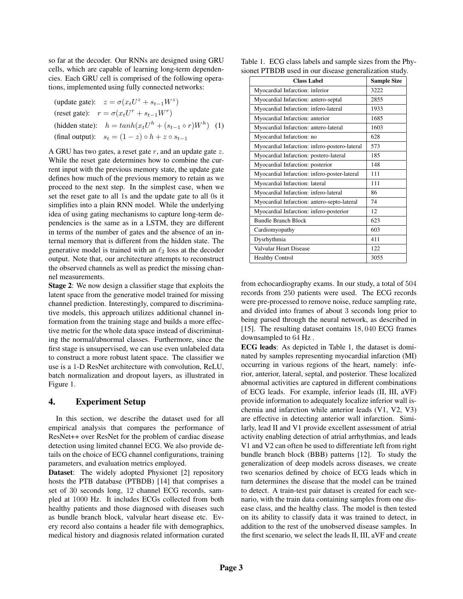so far at the decoder. Our RNNs are designed using GRU cells, which are capable of learning long-term dependencies. Each GRU cell is comprised of the following operations, implemented using fully connected networks:

\n (update gate): \n 
$$
z = \sigma(x_t U^z + s_{t-1} W^z)
$$
\n (reset gate): \n 
$$
r = \sigma(x_t U^r + s_{t-1} W^r)
$$
\n (hidden state): \n 
$$
h = \tanh(x_t U^h + (s_{t-1} \circ r) W^h)
$$
\n (1)\n (final output): \n 
$$
s_t = (1 - z) \circ h + z \circ s_{t-1}
$$
\n

A GRU has two gates, a reset gate r, and an update gate z. While the reset gate determines how to combine the current input with the previous memory state, the update gate defines how much of the previous memory to retain as we proceed to the next step. In the simplest case, when we set the reset gate to all 1s and the update gate to all 0s it simplifies into a plain RNN model. While the underlying idea of using gating mechanisms to capture long-term dependencies is the same as in a LSTM, they are different in terms of the number of gates and the absence of an internal memory that is different from the hidden state. The generative model is trained with an  $\ell_2$  loss at the decoder output. Note that, our architecture attempts to reconstruct the observed channels as well as predict the missing channel measurements.

Stage 2: We now design a classifier stage that exploits the latent space from the generative model trained for missing channel prediction. Interestingly, compared to discriminative models, this approach utilizes additional channel information from the training stage and builds a more effective metric for the whole data space instead of discriminating the normal/abnormal classes. Furthermore, since the first stage is unsupervised, we can use even unlabeled data to construct a more robust latent space. The classifier we use is a 1-D ResNet architecture with convolution, ReLU, batch normalization and dropout layers, as illustrated in Figure 1.

### 4. Experiment Setup

In this section, we describe the dataset used for all empirical analysis that compares the performance of ResNet++ over ResNet for the problem of cardiac disease detection using limited channel ECG. We also provide details on the choice of ECG channel configurations, training parameters, and evaluation metrics employed.

Dataset: The widely adopted Physionet [2] repository hosts the PTB database (PTBDB) [14] that comprises a set of 30 seconds long, 12 channel ECG records, sampled at 1000 Hz. It includes ECGs collected from both healthy patients and those diagnosed with diseases such as bundle branch block, valvular heart disease etc. Every record also contains a header file with demographics, medical history and diagnosis related information curated

Table 1. ECG class labels and sample sizes from the Physionet PTBDB used in our disease generalization study.

| <b>Class Label</b>                            | <b>Sample Size</b> |
|-----------------------------------------------|--------------------|
| Myocardial Infarction: inferior               | 3222               |
| Myocardial Infarction: antero-septal          | 2855               |
| Myocardial Infarction: infero-lateral         | 1933               |
| Myocardial Infarction: anterior               | 1685               |
| Myocardial Infarction: antero-lateral         | 1603               |
| Myocardial Infarction: no                     | 628                |
| Myocardial Infarction: infero-postero-lateral | 573                |
| Myocardial Infarction: postero-lateral        | 185                |
| Myocardial Infarction: posterior              | 148                |
| Myocardial Infarction: infero-poster-lateral  | 111                |
| Myocardial Infarction: lateral                | 111                |
| Myocardial Infarction: infero-lateral         | 86                 |
| Myocardial Infarction: antero-septo-lateral   | 74                 |
| Myocardial Infarction: infero-posterior       | 12                 |
| <b>Bundle Branch Block</b>                    | 623                |
| Cardiomyopathy                                | 603                |
| Dysrhythmia                                   | 411                |
| Valvular Heart Disease                        | 122                |
| <b>Healthy Control</b>                        | 3055               |

from echocardiography exams. In our study, a total of 504 records from 250 patients were used. The ECG records were pre-processed to remove noise, reduce sampling rate, and divided into frames of about 3 seconds long prior to being parsed through the neural network, as described in [15]. The resulting dataset contains 18, 040 ECG frames downsampled to 64 Hz .

ECG leads: As depicted in Table 1, the dataset is dominated by samples representing myocardial infarction (MI) occurring in various regions of the heart, namely: inferior, anterior, lateral, septal, and posterior. These localized abnormal activities are captured in different combinations of ECG leads. For example, inferior leads (II, III, aVF) provide information to adequately localize inferior wall ischemia and infarction while anterior leads (V1, V2, V3) are effective in detecting anterior wall infarction. Similarly, lead II and V1 provide excellent assessment of atrial activity enabling detection of atrial arrhythmias, and leads V1 and V2 can often be used to differentiate left from right bundle branch block (BBB) patterns [12]. To study the generalization of deep models across diseases, we create two scenarios defined by choice of ECG leads which in turn determines the disease that the model can be trained to detect. A train-test pair dataset is created for each scenario, with the train data containing samples from one disease class, and the healthy class. The model is then tested on its ability to classify data it was trained to detect, in addition to the rest of the unobserved disease samples. In the first scenario, we select the leads II, III, aVF and create